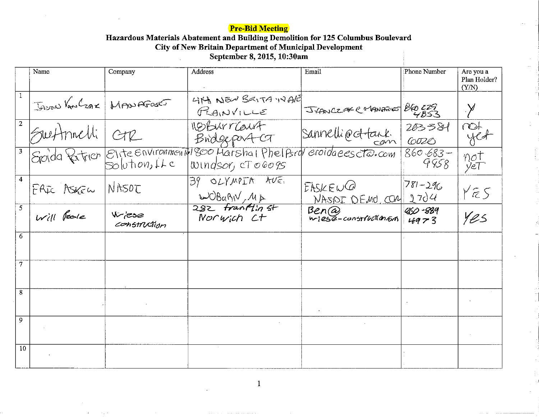## **Pre-Bid Meeting**

## Hazardous Materials Abatement and Building Demolition for 125 Columbus Boulevard<br>City of New Britain Department of Municipal Development<br>September 8, 2015, 10:30am

|                | Name                     | Company                      | Address                                                                                      | Email                           | Phone Number          | Are you a<br>Plan Holder?<br>(Y/N) |
|----------------|--------------------------|------------------------------|----------------------------------------------------------------------------------------------|---------------------------------|-----------------------|------------------------------------|
| $\overline{1}$ | JADON VANCZAK NADO AFOSE |                              | 4NA NEW BRITA INAR<br>PLAINVILLE                                                             | JVANCZAR COMANDORO BLO CZS      |                       |                                    |
| $\sqrt{2}$     | Switmelli CTR            |                              | 119 Burraust<br>Bridgeport-CT                                                                | Sannelli @ ct tank.             | 203381<br>6020        | $m + m$                            |
| $\sqrt{3}$     |                          |                              | Spida Patrier Elite Environmental 800 Marshal Phelpsrd eroidaeescto.com<br>Windsor, cT 06095 |                                 | $860 - 683 -$<br>9958 | not<br>yet                         |
| $\overline{4}$ | FRIE ASKEW               | NASOT                        | 39 OLYMPIA AVE.<br>WOBaBIV, MA                                                               | EASKEWQ<br>NASOI DEMO, CON 2704 | $781 - 296$           | YES                                |
| 5 <sup>5</sup> | Will Poole               | $W$ $\infty$<br>construction | 282 Franklin St<br>Norwich Ct                                                                | Ben@<br>wiese-constructioners   | 450-889<br>4973       | Yes                                |
| 6              |                          |                              |                                                                                              |                                 |                       |                                    |
| 7              |                          |                              |                                                                                              |                                 |                       |                                    |
| 8              |                          |                              |                                                                                              |                                 |                       |                                    |
| 9              |                          |                              |                                                                                              |                                 |                       |                                    |
| 10             |                          |                              |                                                                                              |                                 |                       |                                    |